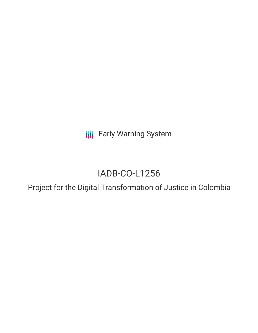**III** Early Warning System

# IADB-CO-L1256

Project for the Digital Transformation of Justice in Colombia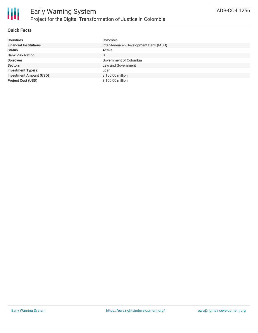

### **Quick Facts**

| <b>Countries</b>               | Colombia                               |
|--------------------------------|----------------------------------------|
| <b>Financial Institutions</b>  | Inter-American Development Bank (IADB) |
| <b>Status</b>                  | Active                                 |
| <b>Bank Risk Rating</b>        | B                                      |
| <b>Borrower</b>                | Government of Colombia                 |
| <b>Sectors</b>                 | Law and Government                     |
| <b>Investment Type(s)</b>      | Loan                                   |
| <b>Investment Amount (USD)</b> | \$100.00 million                       |
| <b>Project Cost (USD)</b>      | \$100.00 million                       |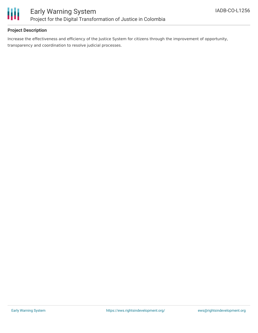

## **Project Description**

Increase the effectiveness and efficiency of the Justice System for citizens through the improvement of opportunity, transparency and coordination to resolve judicial processes.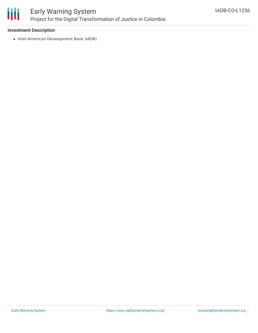

### **Investment Description**

• Inter-American Development Bank (IADB)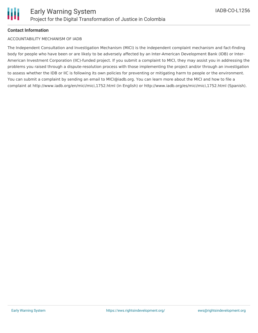

## **Contact Information**

#### ACCOUNTABILITY MECHANISM OF IADB

The Independent Consultation and Investigation Mechanism (MICI) is the independent complaint mechanism and fact-finding body for people who have been or are likely to be adversely affected by an Inter-American Development Bank (IDB) or Inter-American Investment Corporation (IIC)-funded project. If you submit a complaint to MICI, they may assist you in addressing the problems you raised through a dispute-resolution process with those implementing the project and/or through an investigation to assess whether the IDB or IIC is following its own policies for preventing or mitigating harm to people or the environment. You can submit a complaint by sending an email to MICI@iadb.org. You can learn more about the MICI and how to file a complaint at http://www.iadb.org/en/mici/mici,1752.html (in English) or http://www.iadb.org/es/mici/mici,1752.html (Spanish).